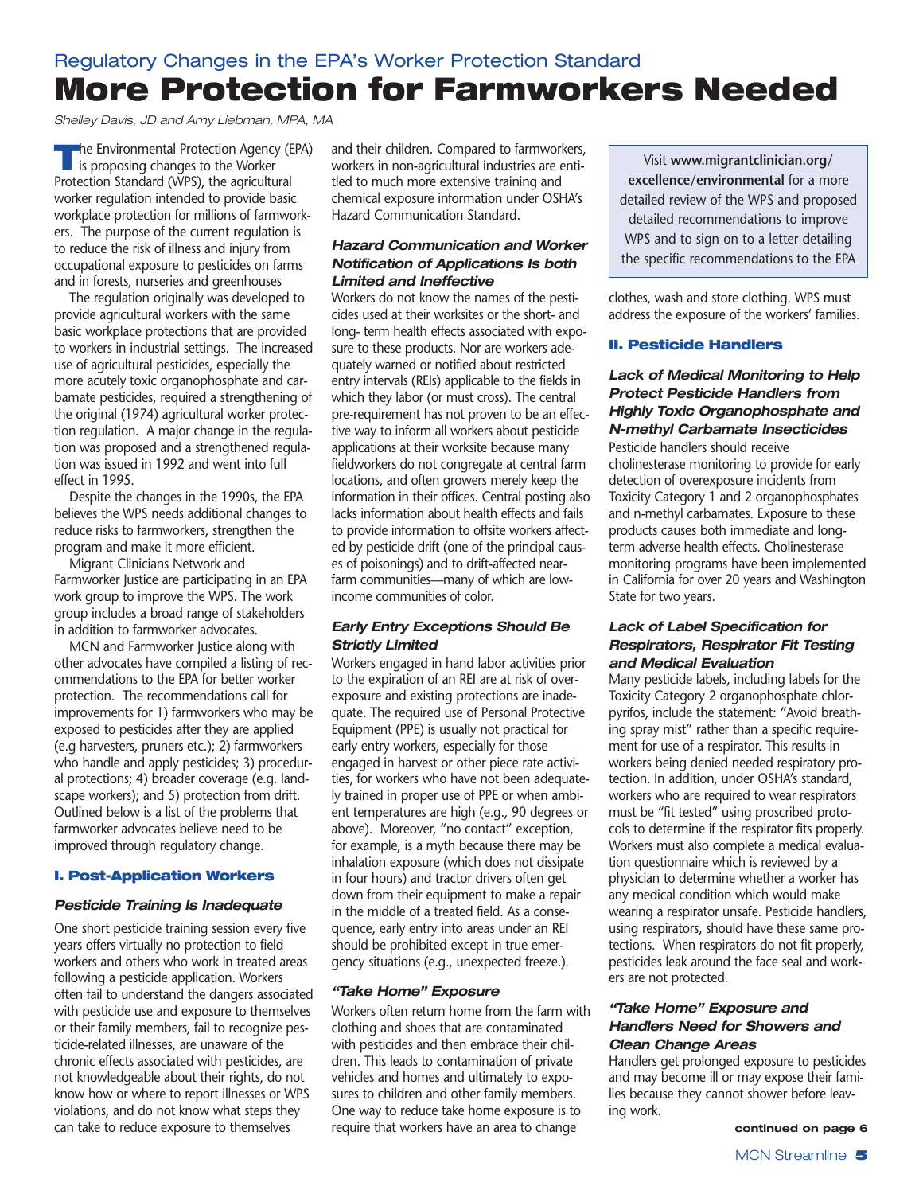# Regulatory Changes in the EPA's Worker Protection Standard **More Protection for Farmworkers Needed**

*Shelley Davis, JD and Amy Liebman, MPA, MA*

**The Environmental Protection Agency (EPA)**<br>is proposing changes to the Worker Protection Standard (WPS), the agricultural worker regulation intended to provide basic workplace protection for millions of farmworkers. The purpose of the current regulation is to reduce the risk of illness and injury from occupational exposure to pesticides on farms and in forests, nurseries and greenhouses

The regulation originally was developed to provide agricultural workers with the same basic workplace protections that are provided to workers in industrial settings. The increased use of agricultural pesticides, especially the more acutely toxic organophosphate and carbamate pesticides, required a strengthening of the original (1974) agricultural worker protection regulation. A major change in the regulation was proposed and a strengthened regulation was issued in 1992 and went into full effect in 1995.

Despite the changes in the 1990s, the EPA believes the WPS needs additional changes to reduce risks to farmworkers, strengthen the program and make it more efficient.

Migrant Clinicians Network and Farmworker Justice are participating in an EPA work group to improve the WPS. The work group includes a broad range of stakeholders in addition to farmworker advocates.

MCN and Farmworker Justice along with other advocates have compiled a listing of recommendations to the EPA for better worker protection. The recommendations call for improvements for 1) farmworkers who may be exposed to pesticides after they are applied (e.g harvesters, pruners etc.); 2) farmworkers who handle and apply pesticides; 3) procedural protections; 4) broader coverage (e.g. landscape workers); and 5) protection from drift. Outlined below is a list of the problems that farmworker advocates believe need to be improved through regulatory change.

# **I. Post-Application Workers**

# *Pesticide Training Is Inadequate*

One short pesticide training session every five years offers virtually no protection to field workers and others who work in treated areas following a pesticide application. Workers often fail to understand the dangers associated with pesticide use and exposure to themselves or their family members, fail to recognize pesticide-related illnesses, are unaware of the chronic effects associated with pesticides, are not knowledgeable about their rights, do not know how or where to report illnesses or WPS violations, and do not know what steps they can take to reduce exposure to themselves

and their children. Compared to farmworkers, workers in non-agricultural industries are entitled to much more extensive training and chemical exposure information under OSHA's Hazard Communication Standard.

# *Hazard Communication and Worker Notification of Applications Is both Limited and Ineffective*

Workers do not know the names of the pesticides used at their worksites or the short- and long- term health effects associated with exposure to these products. Nor are workers adequately warned or notified about restricted entry intervals (REIs) applicable to the fields in which they labor (or must cross). The central pre-requirement has not proven to be an effective way to inform all workers about pesticide applications at their worksite because many fieldworkers do not congregate at central farm locations, and often growers merely keep the information in their offices. Central posting also lacks information about health effects and fails to provide information to offsite workers affected by pesticide drift (one of the principal causes of poisonings) and to drift-affected nearfarm communities—many of which are lowincome communities of color.

# *Early Entry Exceptions Should Be Strictly Limited*

Workers engaged in hand labor activities prior to the expiration of an REI are at risk of overexposure and existing protections are inadequate. The required use of Personal Protective Equipment (PPE) is usually not practical for early entry workers, especially for those engaged in harvest or other piece rate activities, for workers who have not been adequately trained in proper use of PPE or when ambient temperatures are high (e.g., 90 degrees or above). Moreover, "no contact" exception, for example, is a myth because there may be inhalation exposure (which does not dissipate in four hours) and tractor drivers often get down from their equipment to make a repair in the middle of a treated field. As a consequence, early entry into areas under an REI should be prohibited except in true emergency situations (e.g., unexpected freeze.).

# *"Take Home" Exposure*

Workers often return home from the farm with clothing and shoes that are contaminated with pesticides and then embrace their children. This leads to contamination of private vehicles and homes and ultimately to exposures to children and other family members. One way to reduce take home exposure is to require that workers have an area to change

Visit **www.migrantclinician.org/ excellence/environmental** for a more detailed review of the WPS and proposed detailed recommendations to improve WPS and to sign on to a letter detailing the specific recommendations to the EPA

clothes, wash and store clothing. WPS must address the exposure of the workers' families.

# **II. Pesticide Handlers**

# *Lack of Medical Monitoring to Help Protect Pesticide Handlers from Highly Toxic Organophosphate and N-methyl Carbamate Insecticides*

Pesticide handlers should receive cholinesterase monitoring to provide for early detection of overexposure incidents from Toxicity Category 1 and 2 organophosphates and n-methyl carbamates. Exposure to these products causes both immediate and longterm adverse health effects. Cholinesterase monitoring programs have been implemented in California for over 20 years and Washington State for two years.

## *Lack of Label Specification for Respirators, Respirator Fit Testing and Medical Evaluation*

Many pesticide labels, including labels for the Toxicity Category 2 organophosphate chlorpyrifos, include the statement: "Avoid breathing spray mist" rather than a specific requirement for use of a respirator. This results in workers being denied needed respiratory protection. In addition, under OSHA's standard, workers who are required to wear respirators must be "fit tested" using proscribed protocols to determine if the respirator fits properly. Workers must also complete a medical evaluation questionnaire which is reviewed by a physician to determine whether a worker has any medical condition which would make wearing a respirator unsafe. Pesticide handlers, using respirators, should have these same protections. When respirators do not fit properly, pesticides leak around the face seal and workers are not protected.

## *"Take Home" Exposure and Handlers Need for Showers and Clean Change Areas*

Handlers get prolonged exposure to pesticides and may become ill or may expose their families because they cannot shower before leaving work.

**continued on page 6**